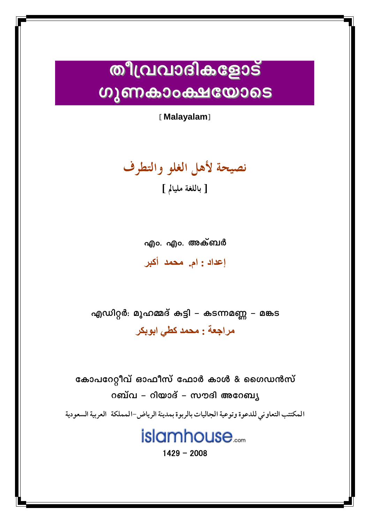## **തീവ്രവാദികളോട് ഗുണകാംക്ഷയോടെ**

[Malayalam]

نصيحة لأهل الغلو والتطرف

[ باللغة مليالم ]

എം. എം. അക്ബർ إعداد : ام. محمد أكبر

എഡിറ്റർ: മുഹമ്മദ് കുട്ടി – കടന്നമണ്ണ – മങ്കട مراجعة : محمد كطي ابوبكر

കോപറേറ്റീവ് ഓഫീസ് ഫോർ കാൾ & ഗൈഡൻസ് റബ്വ – റിയാദ് – സൗദി അറേബ്യ

المكتتب التعاوني للدعوة وتوعية الجاليات بالربوة بمدينة الرياض-المملكة العربية السعودية

## islamhouse.....

 $1429 - 2008$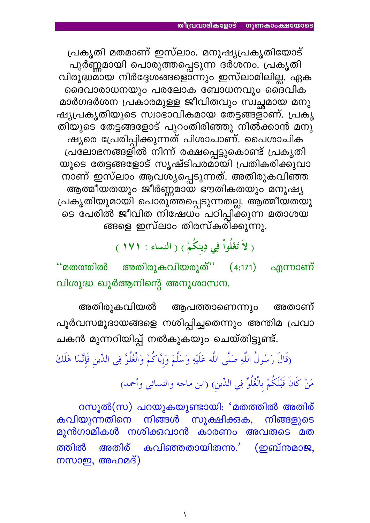പ്രകൃതി മതമാണ് ഇസ്ലാം. മനുഷ്യപ്രകൃതിയോട് പൂർണ്ണമായി പൊരുത്തപ്പെടുന്ന ദർശനം. പ്രകൃതി വിരുദ്ധമായ നിർദ്ദേശങ്ങളൊന്നും ഇസ്ലാമിലില്ല. ഏക ദൈവാരാധനയും പരലോക ബോധനവും ദൈ്വിക മാർഗദർശന പ്രകാരമുള്ള ജീവിതവും സ്വച്ഛമായ മനു ഷ്യപ്രകൃതിയുടെ സ്വാഭാവികമായ തേട്ടങ്ങളാണ്. പ്രകൃ തിയുടെ തേട്ടങ്ങളോട് പുറംതിരിഞ്ഞു നിൽക്കാൻ മനു ഷ്യരെ പ്രേരിപ്പിക്കുന്നത് പിശാചാണ്. പൈശാചിക പ്രലോഭനങ്ങളിൽ നിന്ന് രക്ഷപ്പെട്ടുകൊണ്ട് പ്രകൃതി യുടെ തേട്ടങ്ങളോട് സൃഷ്ടിപരമായി പ്രതികരിക്കുവാ നാണ് ഇസ്ലാം ആവശ്യപ്പെടുന്നത്. അതിരുകവിഞ്ഞ ആത്മീയതയും ജീർണ്ണമായ ഭൗതികതയും മനുഷ്യ പ്രകൃതിയുമായി പൊരു്ത്തപ്പെടുന്നതല്ല. ആത്മീയതയു ടെ പേരിൽ ജീവിത നിഷേധം പഠിപ്പിക്കുന്ന മതാശയ ങ്ങളെ ഇസ്ലാം തിരസ്കരിക്കുന്നു.

( لاَ تَغْلُواْ فِي دِينكُمْ ) ( النساء : ١٧١ )

അതിരുകവിയരുത്'' (4:171) എന്നാണ്  $\cdot$ 'മതത്തിൽ വിശുദ്ധ ഖുർആനിന്റെ അനുശാസന.

അതിരുകവിയൽ ആപത്താണെന്നും അതാണ് പൂർവസമുദായങ്ങളെ നശിപ്പിച്ചതെന്നും അന്തിമ പ്രവാ ചകൻ മുന്നറിയിപ്പ് നൽകുകയും ചെയ്തിട്ടുണ്ട്.

(قَالَ رَسُولُ اللَّهِ صَلَّى اللَّه عَلَيْهِ وَسَلَّمَ وَإِيَّاكُمْ وَالْغُلُوَّ فِي الدِّينِ فَإِنَّمَا هَلَكَ

مَنْ كَانَ قَبْلَكُمْ بِالْغُلُوِّ فِي الدِّينِ) (ابن ماجه والنسائي وأحمد)

റസൂൽ(സ) പറയുകയുണ്ടായി: 'മതത്തിൽ അതിര് സൂക്ഷിക്കുക, നിങ്ങൾ കവിയുന്നതിനെ നിങ്ങളുടെ മുൻഗാമികൾ നശിക്കവാൻ കാരണം അവരുടെ മത (ഇബ്നമാജ, കവിഞ്ഞതായിരുന്ന്.' ത്തിൽ അതിര് നസാഇ, അഹമദ്)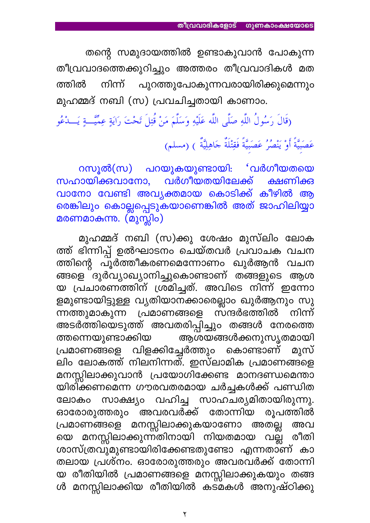തന്റെ സമുദായത്തിൽ ഉണ്ടാകുവാൻ പോകുന്ന തീവ്രവാദത്തെക്കുറിച്ചും അത്തരം തീവ്രവാദികൾ മത നിന്ന് പുറത്തുപോകുന്നവരായിരിക്കുമെന്നും ത്തിൽ മുഹമ്മദ് നബി (സ) പ്രവചിച്ചതായി കാണാം.

(قَالَ رَسُولُ اللَّهِ صَلَّى اللَّه عَلَيْهِ وَسَلَّمَ مَنْ قُتِلَ تَحْتَ رَايَةٍ عِمِّيَّـــةٍ يَـــدْعُو

عَصَبِيَّةً أَوْ يَنْصُرُ عَصَبِيَّةً فَقِتْلَةٌ جَاهِلِيَّةٌ ) (مسلم)

റസൂൽ(സ) പറയുകയുണ്ടായി: 'വർഗീയതയെ സഹായിക്കവാനോ, വർഗീയതയിലേക്ക് ക്ഷണിക്ക വാനോ വേണ്ടി അവ്യക്തമായ കൊടിക്ക് കീഴിൽ ആ <mark>രെങ്കിലും കൊല്ലപ്പെടുകയാണെങ്കിൽ അത് ജാഹിലിയ്യാ</mark> മരണമാകുന്നു. (മുസ്ലിം)

മുഹമ്മദ് നബി (സ)ക്കു ശേഷം മുസ്ലിം ലോക ത്ത് ഭിന്നിപ്പ് ഉൽഘാടനം ചെയ്തവർ പ്രവാചക വചന ത്തിന്റെ പൂർത്തീകരണമെന്നോണം ഖുർആൻ വചന ങ്ങളെ ്ദുർവ്യാഖ്യാനിച്ചുകൊണ്ടാണ് തങ്ങളുടെ ആശ യ പ്രചാരണത്തിന് ശ്രമിച്ചത്. അവിടെ നിന്ന് ഇന്നോ ളമുണ്ടായിട്ടുള്ള വ്യതിയാനക്കാരെല്ലാം ഖുർആനും സു ന്നത്തുമാകുന്ന പ്രമാണങ്ങളെ സന്ദർഭത്തിൽ നിന്ന് അടർത്തിയെടുത്ത് അവതരിപ്പിച്ചും തങ്ങൾ നേരത്തെ ത്തന്നെയുണ്ടാക്കിയ ആശയങ്ങൾക്കനുസൃതമായി പ്രമാണങ്ങളെ വിളക്കിച്ചേർത്തും കൊണ്ടാണ് മുസ് ലിം ലോകത്ത് നിലനിന്നത്. ഇസ്ലാമിക പ്രമാണങ്ങളെ മനസ്സിലാക്കുവാൻ പ്രയോഗിക്കേണ്ട മാനദണ്ഡമെന്താ യിരി്ക്കണമെന്ന ഗൗരവതരമായ ചർച്ചകൾക്ക് പണ്ഡിത സാക്ഷ്യം വഹിച്ച സാഹചര്യമിതായിരുന്നു. ലോകം അവരവർക്ക് തോന്നിയ രൂപത്തിൽ ഓരോരുത്തരു<del>ം</del> പ്രമാണങ്ങളെ മനസ്സിലാക്കുകയാണോ അതല്ല അവ യെ മനസ്സിലാക്കുന്ന്തിനായി നിയതമായ വല്ല് രീതി ശാസ്ത്രവുമുണ്ടായിരിക്കേണ്ടതുണ്ടോ എന്നതാണ് കാ തലായ പ്രശ്നം. ഓരോരുത്തരും അവരവർക്ക് തോന്നി യ രീതിയിൽ പ്രമാണങ്ങളെ മനസ്സിലാക്കുകയും തങ്ങ ൾ മനസ്സിലാക്കിയ രീതിയിൽ കടമകൾ അനുഷ്ഠിക്കു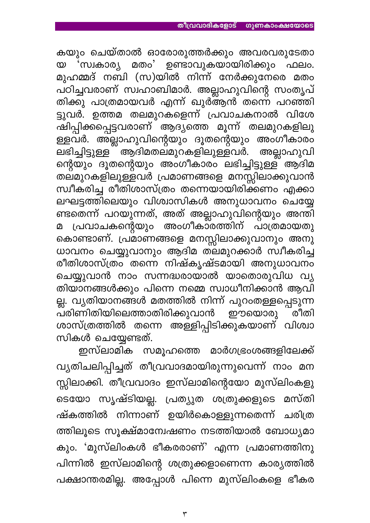കയും ചെയ്താൽ ഓരോരുത്തർക്കും അവരവരുടേതാ യ 'സ്വകാര്യ മതം' ഉണ്ടാവുകയായിരിക്കും ഫലം. മുഹമ്മദ് നബി (സ)യിൽ നിന്ന് നേർക്കുനേരെ മതം പഠിച്ചവരാണ് സ്വഹാബിമാർ. അല്ലാഹുവിന്റെ സംതൃപ് തിക്കു പാത്രമായവർ എന്ന് ഖുർആൻ തന്നെ പറഞ്ഞി ട്ടുവർ. ഉത്തമ തലമുറകളെന്ന് പ്രവാചകനാൽ വിശേ ഷിപ്പിക്കപ്പെട്ടവരാണ് ആദ്യത്തെ മൂന്ന് തലമുറകളിലു ള്ളവർ. അല്ലാഹുവിന്റെയും ദൂതന്റെയും അംഗീകാരം \_\_<br>ലഭിച്ചിട്ടുള്ള<sup>്</sup> ആദിമതല്മുറകളിലുള്ളവർ. അല്ലാഹുവി ന്റെയും ദൂതന്റെയും അംഗീകാരം ലഭിച്ചിട്ടുള്ള് ആദിമ തല്മുറകളിലുള്ളവർ പ്രമാണങ്ങളെ മനസ്സിലാക്കുവാൻ സ്വീകരിച്ച രീതിശാസ്ത്രം തന്നെയായിരിക്കണം എക്കാ ലഘട്ടത്തിലെയും വിശ്വാസികൾ അനുധാവനം ചെയ്യേ ണ്ടതെന്ന് പറയുന്നത്, അത് അല്ലാഹുവിന്റെയും അന്തി മ പ്രവാചകന്റെയും അംഗീകാരത്തിന് പാത്രമായതു കൊണ്ടാണ്. പ്രമാണങ്ങളെ മനസ്സിലാക്കുവാനും അനു ധാവനം ചെയ്യുവാനും ആദിമ ത്ലമുറക്കാർ സ്വീകരിച്ച രീതിശാസ്ത്രം തന്നെ നിഷ്കൃഷ്ടമായി അനുധാവനം ചെയ്യുവാൻ നാം സന്നദ്ധരായാൽ യാതൊരുവിധ വ്യ തിയാനങ്ങൾക്കും പിന്നെ നമ്മെ സ്വാധീനിക്കാൻ ആവി ല്ല. വ്യതിയാനങ്ങൾ മതത്തിൽ നിന്ന് പുറംതള്ളപ്പെടുന്ന പരിണിതിയിലെത്താതിരിക്കുവാൻ ഈയൊരു ്രീതി ശാസ്ത്രത്തിൽ തന്നെ അള്ളിപ്പിടിക്കുകയാണ് വിശ്വാ സികൾ ചെയ്യേണ്ടത്.

ഇസ്ലാമിക സമൂഹത്തെ മാർഗഭ്രംശങ്ങളിലേക്ക് വ്യതിചലിപ്പിച്ചത് തീവ്രവാദമായിരുന്നുവെന്ന് നാം മന സ്സിലാക്കി. തീവ്രവാദം ഇസ്ലാമിന്റെയോ മുസ്ലിംകളു ടെയോ സൃഷ്ടിയല്ല. പ്രത്യുത ശത്രുക്കളുടെ മസ്തി ഷ്കത്തിൽ നിന്നാണ് ഉയിർകൊള്ളുന്നതെന്ന് ചരിത്ര ത്തിലൂടെ സൂക്ഷ്മാന്വേഷണം നടത്തിയാൽ ബോധ്യമാ കും. 'മുസ്ലിംകൾ ഭീകരരാണ്' എന്ന പ്രമാണത്തിനു പിന്നിൽ ഇസ്ലാമിന്റെ ശത്രുക്കളാണെന്ന കാര്യത്തിൽ പക്ഷാന്തരമില്ല. അപ്പോൾ പിന്നെ മുസ്ലിംകളെ ഭീകര

 $\mathbf{\tilde{r}}$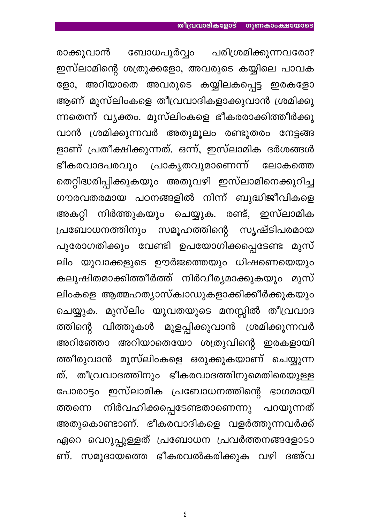ബോധപൂർവ്വം പരിശ്രമിക്കുന്നവരോ? രാക്കുവാൻ ഇസ്ലാമിന്റെ ശത്രുക്കളോ, അവരുടെ കയ്യിലെ പാവക ളോ, അറിയാതെ അവരുടെ കയ്യിലകപ്പെട്ട ഇരകളോ ആണ് മുസ്ലിംകളെ തീവ്രവാദികളാക്കുവാൻ ശ്രമിക്കു ന്നതെന്ന് വ്യക്തം. മുസ്ലിംകളെ ഭീകരരാക്കിത്തീർക്കു വാൻ ശ്രമിക്കുന്നവർ അതുമൂലം രണ്ടുതരം നേട്ടങ്ങ ളാണ് പ്രതീക്ഷിക്കുന്നത്. ഒന്ന്, ഇസ്ലാമിക ദർശങ്ങൾ ഭീകരവാദപരവും പ്രാകൃതവുമാണെന്ന് ലോകത്തെ തെറ്റിദ്ധരിപ്പിക്കുകയും അതുവഴി ഇസ്ലാമിനെക്കുറിച്ച ഗൗരവതരമായ പഠനങ്ങളിൽ നിന്ന് ബുദ്ധിജീവികളെ അകറ്റി നിർത്തുകയും ചെയ്യുക. രണ്ട്, ഇസ്ലാമിക സൃഷ്ടിപരമായ പ്രബോധനത്തിനും സമൂഹത്തിന്റെ പുരോഗതിക്കും വേണ്ടി ഉപയോഗിക്കപ്പെടേണ്ട മുസ് ലിം യുവാക്കളുടെ ഊർജത്തെയും ധിഷണെയെയും കലുഷിതമാക്കിത്തീർത്ത് നിർവീര്യമാക്കുകയും മുസ<mark>്</mark> ലിംകളെ ആത്മഹത്യാസ്ക്വാഡുകളാക്കിക്കീർക്കുകയും ചെയ്യുക. മുസ്ലിം യുവതയുടെ മനസ്സിൽ തീവ്രവാദ വിത്തുകൾ മുളപ്പിക്കുവാൻ ശ്രമിക്കുന്നവർ ത്തിന്റെ അറിഞ്ഞോ അറിയാതെയോ ശത്രുവിന്റെ ഇരകളായി ത്തീരുവാൻ മുസ്ലിംകളെ ഒരുക്കുകയാണ് ചെയ്യുന്ന ത്. തീവ്രവാദത്തിനും ഭീകരവാദത്തിനുമെതിരെയുള്ള പോരാട്ടം ഇസ്ലാമിക പ്രബോധനത്തിന്റെ ഭാഗമായി നിർവഹിക്കപ്പെടേണ്ടതാണെന്നു പറയുന്നത് ത്തന്നെ അതുകൊണ്ടാണ്. ഭീകരവാദികളെ വളർത്തുന്നവർക്ക് ഏറെ വെറുപ്പുള്ളത് പ്രബോധന പ്രവർത്തനങ്ങളോടാ ണ്. സമുദായത്തെ ഭീകരവൽകരിക്കുക വഴി ദഅ്വ

 $\boldsymbol{\xi}$